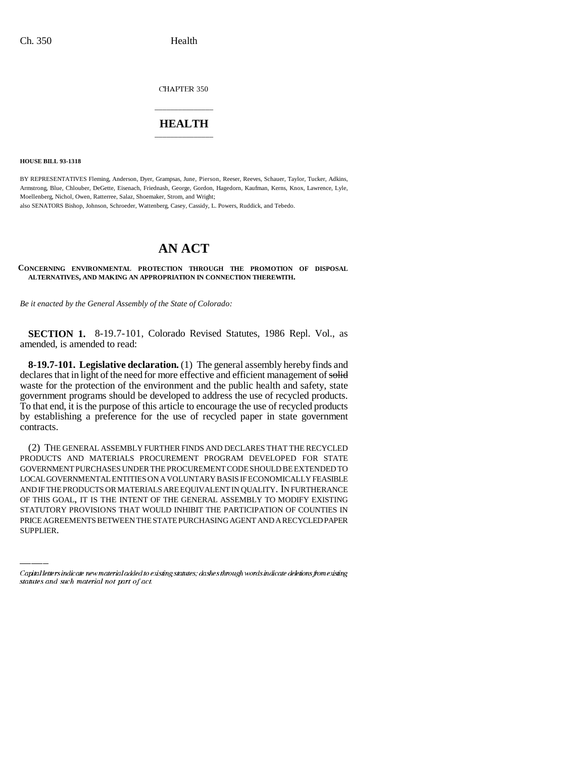CHAPTER 350

# \_\_\_\_\_\_\_\_\_\_\_\_\_\_\_ **HEALTH** \_\_\_\_\_\_\_\_\_\_\_\_\_\_\_

**HOUSE BILL 93-1318**

BY REPRESENTATIVES Fleming, Anderson, Dyer, Grampsas, June, Pierson, Reeser, Reeves, Schauer, Taylor, Tucker, Adkins, Armstrong, Blue, Chlouber, DeGette, Eisenach, Friednash, George, Gordon, Hagedorn, Kaufman, Kerns, Knox, Lawrence, Lyle, Moellenberg, Nichol, Owen, Ratterree, Salaz, Shoemaker, Strom, and Wright; also SENATORS Bishop, Johnson, Schroeder, Wattenberg, Casey, Cassidy, L. Powers, Ruddick, and Tebedo.

# **AN ACT**

**CONCERNING ENVIRONMENTAL PROTECTION THROUGH THE PROMOTION OF DISPOSAL ALTERNATIVES, AND MAKING AN APPROPRIATION IN CONNECTION THEREWITH.**

*Be it enacted by the General Assembly of the State of Colorado:*

**SECTION 1.** 8-19.7-101, Colorado Revised Statutes, 1986 Repl. Vol., as amended, is amended to read:

**8-19.7-101. Legislative declaration.** (1) The general assembly hereby finds and declares that in light of the need for more effective and efficient management of solid waste for the protection of the environment and the public health and safety, state government programs should be developed to address the use of recycled products. To that end, it is the purpose of this article to encourage the use of recycled products by establishing a preference for the use of recycled paper in state government contracts.

AND IF THE PRODUCTS OR MATERIALS ARE EQUIVALENT IN QUALITY. IN FURTHERANCE (2) THE GENERAL ASSEMBLY FURTHER FINDS AND DECLARES THAT THE RECYCLED PRODUCTS AND MATERIALS PROCUREMENT PROGRAM DEVELOPED FOR STATE GOVERNMENT PURCHASES UNDER THE PROCUREMENT CODE SHOULD BE EXTENDED TO LOCAL GOVERNMENTAL ENTITIES ON A VOLUNTARY BASIS IF ECONOMICALLY FEASIBLE OF THIS GOAL, IT IS THE INTENT OF THE GENERAL ASSEMBLY TO MODIFY EXISTING STATUTORY PROVISIONS THAT WOULD INHIBIT THE PARTICIPATION OF COUNTIES IN PRICE AGREEMENTS BETWEEN THE STATE PURCHASING AGENT AND A RECYCLED PAPER SUPPLIER.

Capital letters indicate new material added to existing statutes; dashes through words indicate deletions from existing statutes and such material not part of act.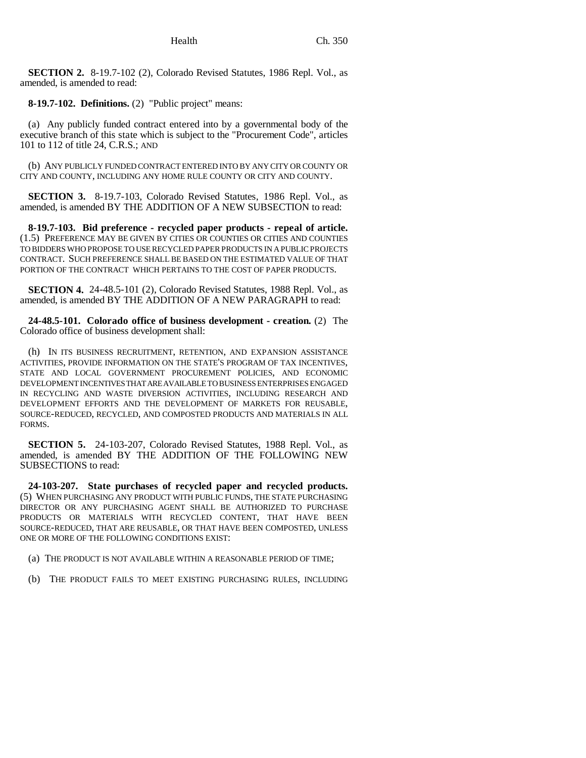**SECTION 2.** 8-19.7-102 (2), Colorado Revised Statutes, 1986 Repl. Vol., as amended, is amended to read:

**8-19.7-102. Definitions.** (2) "Public project" means:

(a) Any publicly funded contract entered into by a governmental body of the executive branch of this state which is subject to the "Procurement Code", articles 101 to 112 of title 24, C.R.S.; AND

(b) ANY PUBLICLY FUNDED CONTRACT ENTERED INTO BY ANY CITY OR COUNTY OR CITY AND COUNTY, INCLUDING ANY HOME RULE COUNTY OR CITY AND COUNTY.

**SECTION 3.** 8-19.7-103, Colorado Revised Statutes, 1986 Repl. Vol., as amended, is amended BY THE ADDITION OF A NEW SUBSECTION to read:

**8-19.7-103. Bid preference - recycled paper products - repeal of article.** (1.5) PREFERENCE MAY BE GIVEN BY CITIES OR COUNTIES OR CITIES AND COUNTIES TO BIDDERS WHO PROPOSE TO USE RECYCLED PAPER PRODUCTS IN A PUBLIC PROJECTS CONTRACT. SUCH PREFERENCE SHALL BE BASED ON THE ESTIMATED VALUE OF THAT PORTION OF THE CONTRACT WHICH PERTAINS TO THE COST OF PAPER PRODUCTS.

**SECTION 4.** 24-48.5-101 (2), Colorado Revised Statutes, 1988 Repl. Vol., as amended, is amended BY THE ADDITION OF A NEW PARAGRAPH to read:

**24-48.5-101. Colorado office of business development - creation.** (2) The Colorado office of business development shall:

(h) IN ITS BUSINESS RECRUITMENT, RETENTION, AND EXPANSION ASSISTANCE ACTIVITIES, PROVIDE INFORMATION ON THE STATE'S PROGRAM OF TAX INCENTIVES, STATE AND LOCAL GOVERNMENT PROCUREMENT POLICIES, AND ECONOMIC DEVELOPMENT INCENTIVES THAT ARE AVAILABLE TO BUSINESS ENTERPRISES ENGAGED IN RECYCLING AND WASTE DIVERSION ACTIVITIES, INCLUDING RESEARCH AND DEVELOPMENT EFFORTS AND THE DEVELOPMENT OF MARKETS FOR REUSABLE, SOURCE-REDUCED, RECYCLED, AND COMPOSTED PRODUCTS AND MATERIALS IN ALL FORMS.

**SECTION 5.** 24-103-207, Colorado Revised Statutes, 1988 Repl. Vol., as amended, is amended BY THE ADDITION OF THE FOLLOWING NEW SUBSECTIONS to read:

**24-103-207. State purchases of recycled paper and recycled products.** (5) WHEN PURCHASING ANY PRODUCT WITH PUBLIC FUNDS, THE STATE PURCHASING DIRECTOR OR ANY PURCHASING AGENT SHALL BE AUTHORIZED TO PURCHASE PRODUCTS OR MATERIALS WITH RECYCLED CONTENT, THAT HAVE BEEN SOURCE-REDUCED, THAT ARE REUSABLE, OR THAT HAVE BEEN COMPOSTED, UNLESS ONE OR MORE OF THE FOLLOWING CONDITIONS EXIST:

- (a) THE PRODUCT IS NOT AVAILABLE WITHIN A REASONABLE PERIOD OF TIME;
- (b) THE PRODUCT FAILS TO MEET EXISTING PURCHASING RULES, INCLUDING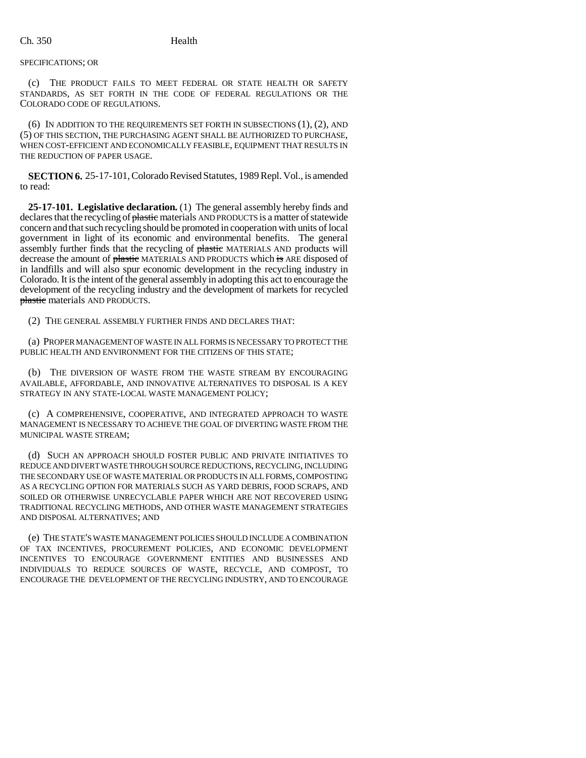SPECIFICATIONS; OR

(c) THE PRODUCT FAILS TO MEET FEDERAL OR STATE HEALTH OR SAFETY STANDARDS, AS SET FORTH IN THE CODE OF FEDERAL REGULATIONS OR THE COLORADO CODE OF REGULATIONS.

(6) IN ADDITION TO THE REQUIREMENTS SET FORTH IN SUBSECTIONS (1), (2), AND (5) OF THIS SECTION, THE PURCHASING AGENT SHALL BE AUTHORIZED TO PURCHASE, WHEN COST-EFFICIENT AND ECONOMICALLY FEASIBLE, EQUIPMENT THAT RESULTS IN THE REDUCTION OF PAPER USAGE.

**SECTION 6.** 25-17-101, Colorado Revised Statutes, 1989 Repl. Vol., is amended to read:

**25-17-101. Legislative declaration.** (1) The general assembly hereby finds and declares that the recycling of plastic materials AND PRODUCTS is a matter of statewide concern and that such recycling should be promoted in cooperation with units of local government in light of its economic and environmental benefits. The general assembly further finds that the recycling of plastic MATERIALS AND products will decrease the amount of plastic MATERIALS AND PRODUCTS which is ARE disposed of in landfills and will also spur economic development in the recycling industry in Colorado. It is the intent of the general assembly in adopting this act to encourage the development of the recycling industry and the development of markets for recycled plastic materials AND PRODUCTS.

(2) THE GENERAL ASSEMBLY FURTHER FINDS AND DECLARES THAT:

(a) PROPER MANAGEMENT OF WASTE IN ALL FORMS IS NECESSARY TO PROTECT THE PUBLIC HEALTH AND ENVIRONMENT FOR THE CITIZENS OF THIS STATE;

(b) THE DIVERSION OF WASTE FROM THE WASTE STREAM BY ENCOURAGING AVAILABLE, AFFORDABLE, AND INNOVATIVE ALTERNATIVES TO DISPOSAL IS A KEY STRATEGY IN ANY STATE-LOCAL WASTE MANAGEMENT POLICY;

(c) A COMPREHENSIVE, COOPERATIVE, AND INTEGRATED APPROACH TO WASTE MANAGEMENT IS NECESSARY TO ACHIEVE THE GOAL OF DIVERTING WASTE FROM THE MUNICIPAL WASTE STREAM;

(d) SUCH AN APPROACH SHOULD FOSTER PUBLIC AND PRIVATE INITIATIVES TO REDUCE AND DIVERT WASTE THROUGH SOURCE REDUCTIONS, RECYCLING, INCLUDING THE SECONDARY USE OF WASTE MATERIAL OR PRODUCTS IN ALL FORMS, COMPOSTING AS A RECYCLING OPTION FOR MATERIALS SUCH AS YARD DEBRIS, FOOD SCRAPS, AND SOILED OR OTHERWISE UNRECYCLABLE PAPER WHICH ARE NOT RECOVERED USING TRADITIONAL RECYCLING METHODS, AND OTHER WASTE MANAGEMENT STRATEGIES AND DISPOSAL ALTERNATIVES; AND

(e) THE STATE'S WASTE MANAGEMENT POLICIES SHOULD INCLUDE A COMBINATION OF TAX INCENTIVES, PROCUREMENT POLICIES, AND ECONOMIC DEVELOPMENT INCENTIVES TO ENCOURAGE GOVERNMENT ENTITIES AND BUSINESSES AND INDIVIDUALS TO REDUCE SOURCES OF WASTE, RECYCLE, AND COMPOST, TO ENCOURAGE THE DEVELOPMENT OF THE RECYCLING INDUSTRY, AND TO ENCOURAGE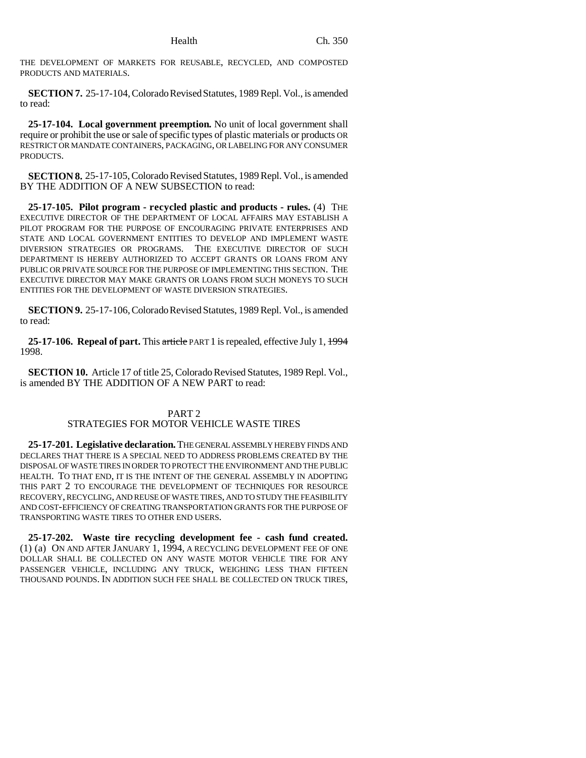THE DEVELOPMENT OF MARKETS FOR REUSABLE, RECYCLED, AND COMPOSTED PRODUCTS AND MATERIALS.

**SECTION 7.** 25-17-104, Colorado Revised Statutes, 1989 Repl. Vol., is amended to read:

**25-17-104. Local government preemption.** No unit of local government shall require or prohibit the use or sale of specific types of plastic materials or products OR RESTRICT OR MANDATE CONTAINERS, PACKAGING, OR LABELING FOR ANY CONSUMER PRODUCTS.

**SECTION 8.** 25-17-105, Colorado Revised Statutes, 1989 Repl. Vol., is amended BY THE ADDITION OF A NEW SUBSECTION to read:

**25-17-105. Pilot program - recycled plastic and products - rules.** (4) THE EXECUTIVE DIRECTOR OF THE DEPARTMENT OF LOCAL AFFAIRS MAY ESTABLISH A PILOT PROGRAM FOR THE PURPOSE OF ENCOURAGING PRIVATE ENTERPRISES AND STATE AND LOCAL GOVERNMENT ENTITIES TO DEVELOP AND IMPLEMENT WASTE DIVERSION STRATEGIES OR PROGRAMS. THE EXECUTIVE DIRECTOR OF SUCH DEPARTMENT IS HEREBY AUTHORIZED TO ACCEPT GRANTS OR LOANS FROM ANY PUBLIC OR PRIVATE SOURCE FOR THE PURPOSE OF IMPLEMENTING THIS SECTION. THE EXECUTIVE DIRECTOR MAY MAKE GRANTS OR LOANS FROM SUCH MONEYS TO SUCH ENTITIES FOR THE DEVELOPMENT OF WASTE DIVERSION STRATEGIES.

**SECTION 9.** 25-17-106, Colorado Revised Statutes, 1989 Repl. Vol., is amended to read:

**25-17-106. Repeal of part.** This article PART 1 is repealed, effective July 1, 1994 1998.

**SECTION 10.** Article 17 of title 25, Colorado Revised Statutes, 1989 Repl. Vol., is amended BY THE ADDITION OF A NEW PART to read:

## PART 2 STRATEGIES FOR MOTOR VEHICLE WASTE TIRES

**25-17-201. Legislative declaration.** THE GENERAL ASSEMBLY HEREBY FINDS AND DECLARES THAT THERE IS A SPECIAL NEED TO ADDRESS PROBLEMS CREATED BY THE DISPOSAL OF WASTE TIRES IN ORDER TO PROTECT THE ENVIRONMENT AND THE PUBLIC HEALTH. TO THAT END, IT IS THE INTENT OF THE GENERAL ASSEMBLY IN ADOPTING THIS PART 2 TO ENCOURAGE THE DEVELOPMENT OF TECHNIQUES FOR RESOURCE RECOVERY, RECYCLING, AND REUSE OF WASTE TIRES, AND TO STUDY THE FEASIBILITY AND COST-EFFICIENCY OF CREATING TRANSPORTATION GRANTS FOR THE PURPOSE OF TRANSPORTING WASTE TIRES TO OTHER END USERS.

**25-17-202. Waste tire recycling development fee - cash fund created.** (1) (a) ON AND AFTER JANUARY 1, 1994, A RECYCLING DEVELOPMENT FEE OF ONE DOLLAR SHALL BE COLLECTED ON ANY WASTE MOTOR VEHICLE TIRE FOR ANY PASSENGER VEHICLE, INCLUDING ANY TRUCK, WEIGHING LESS THAN FIFTEEN THOUSAND POUNDS. IN ADDITION SUCH FEE SHALL BE COLLECTED ON TRUCK TIRES,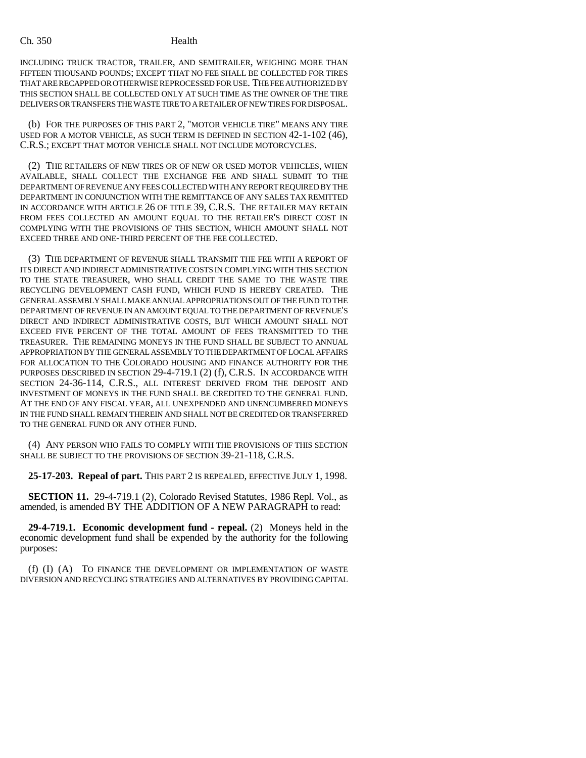## Ch. 350 Health

INCLUDING TRUCK TRACTOR, TRAILER, AND SEMITRAILER, WEIGHING MORE THAN FIFTEEN THOUSAND POUNDS; EXCEPT THAT NO FEE SHALL BE COLLECTED FOR TIRES THAT ARE RECAPPED OR OTHERWISE REPROCESSED FOR USE. THE FEE AUTHORIZED BY THIS SECTION SHALL BE COLLECTED ONLY AT SUCH TIME AS THE OWNER OF THE TIRE DELIVERS OR TRANSFERS THE WASTE TIRE TO A RETAILER OF NEW TIRES FOR DISPOSAL.

(b) FOR THE PURPOSES OF THIS PART 2, "MOTOR VEHICLE TIRE" MEANS ANY TIRE USED FOR A MOTOR VEHICLE, AS SUCH TERM IS DEFINED IN SECTION 42-1-102 (46), C.R.S.; EXCEPT THAT MOTOR VEHICLE SHALL NOT INCLUDE MOTORCYCLES.

(2) THE RETAILERS OF NEW TIRES OR OF NEW OR USED MOTOR VEHICLES, WHEN AVAILABLE, SHALL COLLECT THE EXCHANGE FEE AND SHALL SUBMIT TO THE DEPARTMENT OF REVENUE ANY FEES COLLECTED WITH ANY REPORT REQUIRED BY THE DEPARTMENT IN CONJUNCTION WITH THE REMITTANCE OF ANY SALES TAX REMITTED IN ACCORDANCE WITH ARTICLE 26 OF TITLE 39, C.R.S. THE RETAILER MAY RETAIN FROM FEES COLLECTED AN AMOUNT EQUAL TO THE RETAILER'S DIRECT COST IN COMPLYING WITH THE PROVISIONS OF THIS SECTION, WHICH AMOUNT SHALL NOT EXCEED THREE AND ONE-THIRD PERCENT OF THE FEE COLLECTED.

(3) THE DEPARTMENT OF REVENUE SHALL TRANSMIT THE FEE WITH A REPORT OF ITS DIRECT AND INDIRECT ADMINISTRATIVE COSTS IN COMPLYING WITH THIS SECTION TO THE STATE TREASURER, WHO SHALL CREDIT THE SAME TO THE WASTE TIRE RECYCLING DEVELOPMENT CASH FUND, WHICH FUND IS HEREBY CREATED. THE GENERAL ASSEMBLY SHALL MAKE ANNUAL APPROPRIATIONS OUT OF THE FUND TO THE DEPARTMENT OF REVENUE IN AN AMOUNT EQUAL TO THE DEPARTMENT OF REVENUE'S DIRECT AND INDIRECT ADMINISTRATIVE COSTS, BUT WHICH AMOUNT SHALL NOT EXCEED FIVE PERCENT OF THE TOTAL AMOUNT OF FEES TRANSMITTED TO THE TREASURER. THE REMAINING MONEYS IN THE FUND SHALL BE SUBJECT TO ANNUAL APPROPRIATION BY THE GENERAL ASSEMBLY TO THE DEPARTMENT OF LOCAL AFFAIRS FOR ALLOCATION TO THE COLORADO HOUSING AND FINANCE AUTHORITY FOR THE PURPOSES DESCRIBED IN SECTION 29-4-719.1 (2) (f), C.R.S. IN ACCORDANCE WITH SECTION 24-36-114, C.R.S., ALL INTEREST DERIVED FROM THE DEPOSIT AND INVESTMENT OF MONEYS IN THE FUND SHALL BE CREDITED TO THE GENERAL FUND. AT THE END OF ANY FISCAL YEAR, ALL UNEXPENDED AND UNENCUMBERED MONEYS IN THE FUND SHALL REMAIN THEREIN AND SHALL NOT BE CREDITED OR TRANSFERRED TO THE GENERAL FUND OR ANY OTHER FUND.

(4) ANY PERSON WHO FAILS TO COMPLY WITH THE PROVISIONS OF THIS SECTION SHALL BE SUBJECT TO THE PROVISIONS OF SECTION 39-21-118, C.R.S.

**25-17-203. Repeal of part.** THIS PART 2 IS REPEALED, EFFECTIVE JULY 1, 1998.

**SECTION 11.** 29-4-719.1 (2), Colorado Revised Statutes, 1986 Repl. Vol., as amended, is amended BY THE ADDITION OF A NEW PARAGRAPH to read:

**29-4-719.1. Economic development fund - repeal.** (2) Moneys held in the economic development fund shall be expended by the authority for the following purposes:

(f) (I) (A) TO FINANCE THE DEVELOPMENT OR IMPLEMENTATION OF WASTE DIVERSION AND RECYCLING STRATEGIES AND ALTERNATIVES BY PROVIDING CAPITAL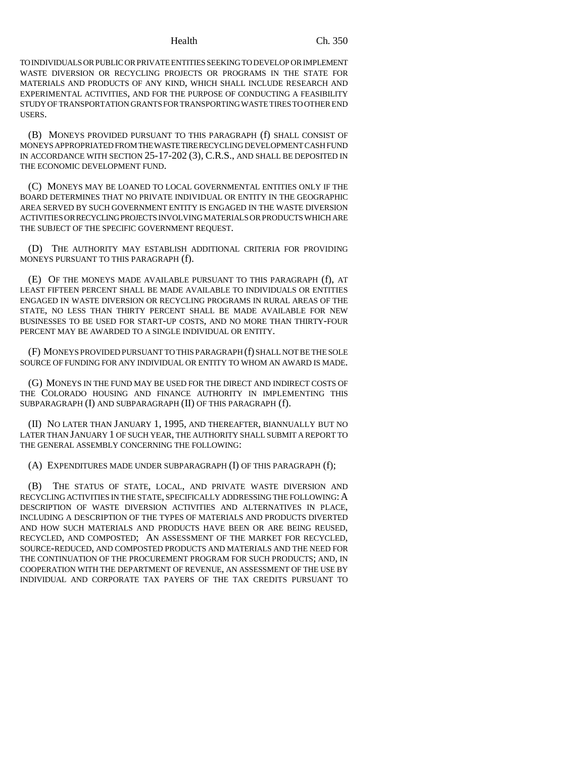TO INDIVIDUALS OR PUBLIC OR PRIVATE ENTITIES SEEKING TO DEVELOP OR IMPLEMENT WASTE DIVERSION OR RECYCLING PROJECTS OR PROGRAMS IN THE STATE FOR MATERIALS AND PRODUCTS OF ANY KIND, WHICH SHALL INCLUDE RESEARCH AND EXPERIMENTAL ACTIVITIES, AND FOR THE PURPOSE OF CONDUCTING A FEASIBILITY STUDY OF TRANSPORTATION GRANTS FOR TRANSPORTING WASTE TIRES TO OTHER END USERS.

(B) MONEYS PROVIDED PURSUANT TO THIS PARAGRAPH (f) SHALL CONSIST OF MONEYS APPROPRIATED FROM THE WASTE TIRE RECYCLING DEVELOPMENT CASH FUND IN ACCORDANCE WITH SECTION 25-17-202 (3), C.R.S., AND SHALL BE DEPOSITED IN THE ECONOMIC DEVELOPMENT FUND.

(C) MONEYS MAY BE LOANED TO LOCAL GOVERNMENTAL ENTITIES ONLY IF THE BOARD DETERMINES THAT NO PRIVATE INDIVIDUAL OR ENTITY IN THE GEOGRAPHIC AREA SERVED BY SUCH GOVERNMENT ENTITY IS ENGAGED IN THE WASTE DIVERSION ACTIVITIES OR RECYCLING PROJECTS INVOLVING MATERIALS OR PRODUCTS WHICH ARE THE SUBJECT OF THE SPECIFIC GOVERNMENT REQUEST.

(D) THE AUTHORITY MAY ESTABLISH ADDITIONAL CRITERIA FOR PROVIDING MONEYS PURSUANT TO THIS PARAGRAPH (f).

(E) OF THE MONEYS MADE AVAILABLE PURSUANT TO THIS PARAGRAPH (f), AT LEAST FIFTEEN PERCENT SHALL BE MADE AVAILABLE TO INDIVIDUALS OR ENTITIES ENGAGED IN WASTE DIVERSION OR RECYCLING PROGRAMS IN RURAL AREAS OF THE STATE, NO LESS THAN THIRTY PERCENT SHALL BE MADE AVAILABLE FOR NEW BUSINESSES TO BE USED FOR START-UP COSTS, AND NO MORE THAN THIRTY-FOUR PERCENT MAY BE AWARDED TO A SINGLE INDIVIDUAL OR ENTITY.

(F) MONEYS PROVIDED PURSUANT TO THIS PARAGRAPH (f) SHALL NOT BE THE SOLE SOURCE OF FUNDING FOR ANY INDIVIDUAL OR ENTITY TO WHOM AN AWARD IS MADE.

(G) MONEYS IN THE FUND MAY BE USED FOR THE DIRECT AND INDIRECT COSTS OF THE COLORADO HOUSING AND FINANCE AUTHORITY IN IMPLEMENTING THIS SUBPARAGRAPH (I) AND SUBPARAGRAPH (II) OF THIS PARAGRAPH (f).

(II) NO LATER THAN JANUARY 1, 1995, AND THEREAFTER, BIANNUALLY BUT NO LATER THAN JANUARY 1 OF SUCH YEAR, THE AUTHORITY SHALL SUBMIT A REPORT TO THE GENERAL ASSEMBLY CONCERNING THE FOLLOWING:

(A) EXPENDITURES MADE UNDER SUBPARAGRAPH (I) OF THIS PARAGRAPH (f);

(B) THE STATUS OF STATE, LOCAL, AND PRIVATE WASTE DIVERSION AND RECYCLING ACTIVITIES IN THE STATE, SPECIFICALLY ADDRESSING THE FOLLOWING: A DESCRIPTION OF WASTE DIVERSION ACTIVITIES AND ALTERNATIVES IN PLACE, INCLUDING A DESCRIPTION OF THE TYPES OF MATERIALS AND PRODUCTS DIVERTED AND HOW SUCH MATERIALS AND PRODUCTS HAVE BEEN OR ARE BEING REUSED, RECYCLED, AND COMPOSTED; AN ASSESSMENT OF THE MARKET FOR RECYCLED, SOURCE-REDUCED, AND COMPOSTED PRODUCTS AND MATERIALS AND THE NEED FOR THE CONTINUATION OF THE PROCUREMENT PROGRAM FOR SUCH PRODUCTS; AND, IN COOPERATION WITH THE DEPARTMENT OF REVENUE, AN ASSESSMENT OF THE USE BY INDIVIDUAL AND CORPORATE TAX PAYERS OF THE TAX CREDITS PURSUANT TO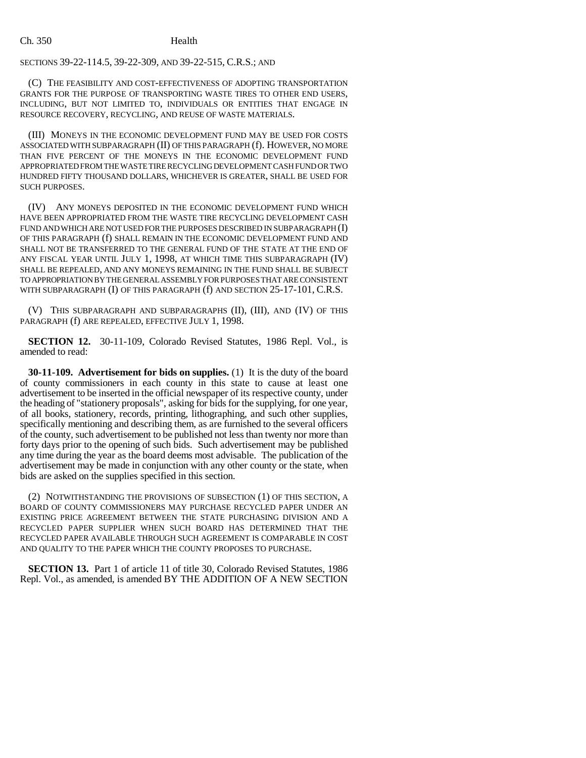# SECTIONS 39-22-114.5, 39-22-309, AND 39-22-515, C.R.S.; AND

(C) THE FEASIBILITY AND COST-EFFECTIVENESS OF ADOPTING TRANSPORTATION GRANTS FOR THE PURPOSE OF TRANSPORTING WASTE TIRES TO OTHER END USERS, INCLUDING, BUT NOT LIMITED TO, INDIVIDUALS OR ENTITIES THAT ENGAGE IN RESOURCE RECOVERY, RECYCLING, AND REUSE OF WASTE MATERIALS.

(III) MONEYS IN THE ECONOMIC DEVELOPMENT FUND MAY BE USED FOR COSTS ASSOCIATED WITH SUBPARAGRAPH (II) OF THIS PARAGRAPH (f). HOWEVER, NO MORE THAN FIVE PERCENT OF THE MONEYS IN THE ECONOMIC DEVELOPMENT FUND APPROPRIATED FROM THE WASTE TIRE RECYCLING DEVELOPMENT CASH FUND OR TWO HUNDRED FIFTY THOUSAND DOLLARS, WHICHEVER IS GREATER, SHALL BE USED FOR SUCH PURPOSES.

(IV) ANY MONEYS DEPOSITED IN THE ECONOMIC DEVELOPMENT FUND WHICH HAVE BEEN APPROPRIATED FROM THE WASTE TIRE RECYCLING DEVELOPMENT CASH FUND AND WHICH ARE NOT USED FOR THE PURPOSES DESCRIBED IN SUBPARAGRAPH (I) OF THIS PARAGRAPH (f) SHALL REMAIN IN THE ECONOMIC DEVELOPMENT FUND AND SHALL NOT BE TRANSFERRED TO THE GENERAL FUND OF THE STATE AT THE END OF ANY FISCAL YEAR UNTIL JULY 1, 1998, AT WHICH TIME THIS SUBPARAGRAPH (IV) SHALL BE REPEALED, AND ANY MONEYS REMAINING IN THE FUND SHALL BE SUBJECT TO APPROPRIATION BY THE GENERAL ASSEMBLY FOR PURPOSES THAT ARE CONSISTENT WITH SUBPARAGRAPH (I) OF THIS PARAGRAPH (f) AND SECTION 25-17-101, C.R.S.

(V) THIS SUBPARAGRAPH AND SUBPARAGRAPHS (II), (III), AND (IV) OF THIS PARAGRAPH (f) ARE REPEALED, EFFECTIVE JULY 1, 1998.

**SECTION 12.** 30-11-109, Colorado Revised Statutes, 1986 Repl. Vol., is amended to read:

**30-11-109. Advertisement for bids on supplies.** (1) It is the duty of the board of county commissioners in each county in this state to cause at least one advertisement to be inserted in the official newspaper of its respective county, under the heading of "stationery proposals", asking for bids for the supplying, for one year, of all books, stationery, records, printing, lithographing, and such other supplies, specifically mentioning and describing them, as are furnished to the several officers of the county, such advertisement to be published not less than twenty nor more than forty days prior to the opening of such bids. Such advertisement may be published any time during the year as the board deems most advisable. The publication of the advertisement may be made in conjunction with any other county or the state, when bids are asked on the supplies specified in this section.

(2) NOTWITHSTANDING THE PROVISIONS OF SUBSECTION (1) OF THIS SECTION, A BOARD OF COUNTY COMMISSIONERS MAY PURCHASE RECYCLED PAPER UNDER AN EXISTING PRICE AGREEMENT BETWEEN THE STATE PURCHASING DIVISION AND A RECYCLED PAPER SUPPLIER WHEN SUCH BOARD HAS DETERMINED THAT THE RECYCLED PAPER AVAILABLE THROUGH SUCH AGREEMENT IS COMPARABLE IN COST AND QUALITY TO THE PAPER WHICH THE COUNTY PROPOSES TO PURCHASE.

**SECTION 13.** Part 1 of article 11 of title 30, Colorado Revised Statutes, 1986 Repl. Vol., as amended, is amended BY THE ADDITION OF A NEW SECTION